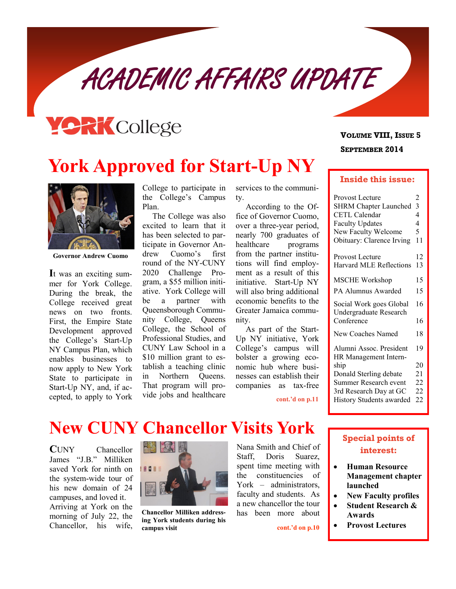ACADEMIC AFFAIRS UPDATE



# **York Approved for Start-Up NY**



**Governor Andrew Cuomo**

**I**t was an exciting summer for York College. During the break, the College received great news on two fronts. First, the Empire State Development approved the College's Start-Up NY Campus Plan, which enables businesses to now apply to New York State to participate in Start-Up NY, and, if accepted, to apply to York

College to participate in the College's Campus Plan.

The College was also excited to learn that it has been selected to participate in Governor Andrew Cuomo's first round of the NY-CUNY 2020 Challenge Program, a \$55 million initiative. York College will be a partner with Queensborough Community College, Queens College, the School of Professional Studies, and CUNY Law School in a \$10 million grant to establish a teaching clinic in Northern Queens. That program will provide jobs and healthcare

services to the community.

According to the Office of Governor Cuomo, over a three-year period, nearly 700 graduates of healthcare programs from the partner institutions will find employment as a result of this initiative. Start-Up NY will also bring additional economic benefits to the Greater Jamaica community.

As part of the Start-Up NY initiative, York College's campus will bolster a growing economic hub where businesses can establish their companies as tax-free

**cont.'d on p.11**

### **SEPTEMBER 2014 VOLUME VIII, ISSUE 5**

#### **Inside this issue:**

| Provost Lecture                                   | $\overline{c}$ |
|---------------------------------------------------|----------------|
| <b>SHRM Chapter Launched</b>                      | 3              |
| CETL Calendar                                     | 4              |
| <b>Faculty Updates</b>                            | 4              |
| New Faculty Welcome                               | 5              |
| Obituary: Clarence Irving                         | 11             |
| Provost Lecture                                   | 12             |
| <b>Harvard MLE Reflections</b>                    | 13             |
| <b>MSCHE Workshop</b>                             | 15             |
| PA Alumnus Awarded                                | 15             |
| Social Work goes Global<br>Undergraduate Research | 16             |
| Conference                                        | 16             |
| New Coaches Named                                 | 18             |
| Alumni Assoc. President<br>HR Management Intern-  | 19             |
| ship                                              | 20             |
| Donald Sterling debate                            | 21             |
| Summer Research event                             | 22             |
| 3rd Research Day at GC                            | 22             |
| <b>History Students awarded</b>                   | 22             |
|                                                   |                |

## **New CUNY Chancellor Visits York**

**C**UNY Chancellor James "J.B." Milliken saved York for ninth on the system-wide tour of his new domain of 24 campuses, and loved it. Arriving at York on the morning of July 22, the Chancellor, his wife,



**Chancellor Milliken addressing York students during his campus visit cont.'d on p.10** 

Nana Smith and Chief of Staff, Doris Suarez, spent time meeting with the constituencies of York – administrators, faculty and students. As a new chancellor the tour has been more about

### **Special points of interest:**

- **Human Resource Management chapter launched**
- **New Faculty profiles**
- **Student Research & Awards**
- **Provost Lectures**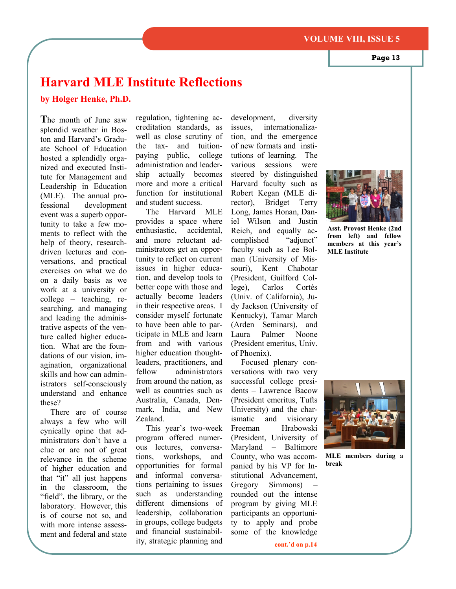#### **VOLUME VIII, ISSUE 5**

**Page 13**

## **Harvard MLE Institute Reflections**

**by Holger Henke, Ph.D.**

**T**he month of June saw splendid weather in Boston and Harvard's Graduate School of Education hosted a splendidly organized and executed Institute for Management and Leadership in Education (MLE). The annual professional development event was a superb opportunity to take a few moments to reflect with the help of theory, researchdriven lectures and conversations, and practical exercises on what we do on a daily basis as we work at a university or college – teaching, researching, and managing and leading the administrative aspects of the venture called higher education. What are the foundations of our vision, imagination, organizational skills and how can administrators self-consciously understand and enhance these?

There are of course always a few who will cynically opine that administrators don't have a clue or are not of great relevance in the scheme of higher education and that "it" all just happens in the classroom, the "field", the library, or the laboratory. However, this is of course not so, and with more intense assessment and federal and state

regulation, tightening accreditation standards, as well as close scrutiny of the tax- and tuitionpaying public, college administration and leadership actually becomes more and more a critical function for institutional and student success.

The Harvard MLE provides a space where enthusiastic, accidental, and more reluctant administrators get an opportunity to reflect on current issues in higher education, and develop tools to better cope with those and actually become leaders in their respective areas. I consider myself fortunate to have been able to participate in MLE and learn from and with various higher education thoughtleaders, practitioners, and fellow administrators from around the nation, as well as countries such as Australia, Canada, Denmark, India, and New Zealand.

This year's two-week program offered numerous lectures, conversations, workshops, and opportunities for formal and informal conversations pertaining to issues such as understanding different dimensions of leadership, collaboration in groups, college budgets and financial sustainability, strategic planning and

development, diversity issues, internationalization, and the emergence of new formats and institutions of learning. The various sessions were steered by distinguished Harvard faculty such as Robert Kegan (MLE director), Bridget Terry Long, James Honan, Daniel Wilson and Justin Reich, and equally accomplished "adjunct" faculty such as Lee Bolman (University of Missouri), Kent Chabotar (President, Guilford College), Carlos Cortés (Univ. of California), Judy Jackson (University of Kentucky), Tamar March (Arden Seminars), and Laura Palmer Noone (President emeritus, Univ. of Phoenix).

Focused plenary conversations with two very successful college presidents – Lawrence Bacow (President emeritus, Tufts University) and the charismatic and visionary Freeman Hrabowski (President, University of Maryland – Baltimore County, who was accompanied by his VP for Institutional Advancement, Gregory Simmons) – rounded out the intense program by giving MLE participants an opportunity to apply and probe some of the knowledge



**Asst. Provost Henke (2nd from left) and fellow members at this year's MLE Institute**



**MLE members during a break**

**cont.'d on p.14**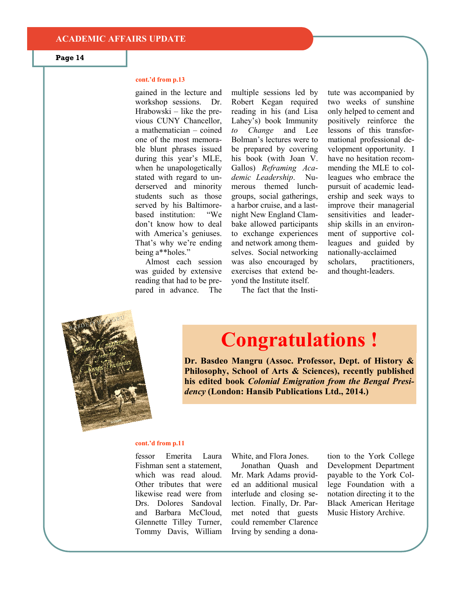#### **cont.'d from p.13**

gained in the lecture and workshop sessions. Dr. Hrabowski – like the previous CUNY Chancellor, a mathematician – coined one of the most memorable blunt phrases issued during this year's MLE, when he unapologetically stated with regard to underserved and minority students such as those served by his Baltimorebased institution: "We don't know how to deal with America's geniuses. That's why we're ending being a\*\*holes."

Almost each session was guided by extensive reading that had to be prepared in advance. The multiple sessions led by Robert Kegan required reading in his (and Lisa Lahey's) book Immunity *to Change* and Lee Bolman's lectures were to be prepared by covering his book (with Joan V. Gallos) *Reframing Academic Leadership*. Numerous themed lunchgroups, social gatherings, a harbor cruise, and a lastnight New England Clambake allowed participants to exchange experiences and network among themselves. Social networking was also encouraged by exercises that extend beyond the Institute itself.

tute was accompanied by two weeks of sunshine only helped to cement and positively reinforce the lessons of this transformational professional development opportunity. I have no hesitation recommending the MLE to colleagues who embrace the pursuit of academic leadership and seek ways to improve their managerial sensitivities and leadership skills in an environment of supportive colleagues and guided by nationally-acclaimed scholars, practitioners, and thought-leaders.





# **Congratulations !**

**Dr. Basdeo Mangru (Assoc. Professor, Dept. of History & Philosophy, School of Arts & Sciences), recently published his edited book** *Colonial Emigration from the Bengal Presidency* **(London: Hansib Publications Ltd., 2014.)**

#### **cont.'d from p.11**

fessor Emerita Laura Fishman sent a statement, which was read aloud. Other tributes that were likewise read were from Drs. Dolores Sandoval and Barbara McCloud, Glennette Tilley Turner, Tommy Davis, William

White, and Flora Jones.

Jonathan Quash and Mr. Mark Adams provided an additional musical interlude and closing selection. Finally, Dr. Parmet noted that guests could remember Clarence Irving by sending a donation to the York College Development Department payable to the York College Foundation with a notation directing it to the Black American Heritage Music History Archive.